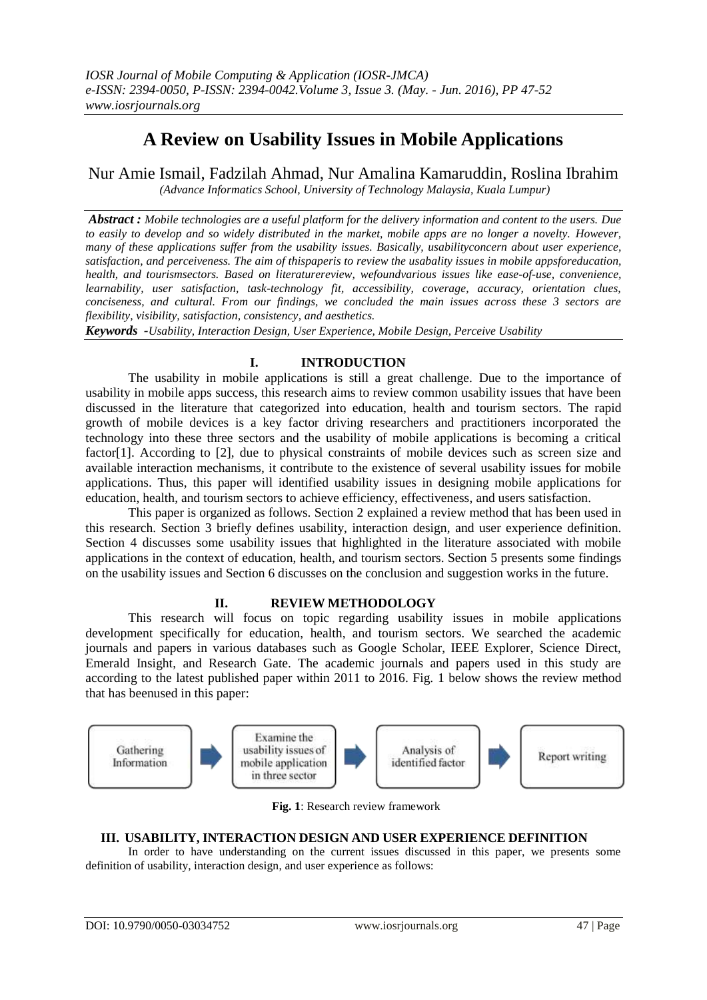# **A Review on Usability Issues in Mobile Applications**

Nur Amie Ismail, Fadzilah Ahmad, Nur Amalina Kamaruddin, Roslina Ibrahim *(Advance Informatics School, University of Technology Malaysia, Kuala Lumpur)*

*Abstract : Mobile technologies are a useful platform for the delivery information and content to the users. Due to easily to develop and so widely distributed in the market, mobile apps are no longer a novelty. However, many of these applications suffer from the usability issues. Basically, usabilityconcern about user experience, satisfaction, and perceiveness. The aim of thispaperis to review the usabality issues in mobile appsforeducation, health, and tourismsectors. Based on literaturereview, wefoundvarious issues like ease-of-use, convenience, learnability, user satisfaction, task-technology fit, accessibility, coverage, accuracy, orientation clues, conciseness, and cultural. From our findings, we concluded the main issues across these 3 sectors are flexibility, visibility, satisfaction, consistency, and aesthetics.*

*Keywords -Usability, Interaction Design, User Experience, Mobile Design, Perceive Usability*

# **I. INTRODUCTION**

The usability in mobile applications is still a great challenge. Due to the importance of usability in mobile apps success, this research aims to review common usability issues that have been discussed in the literature that categorized into education, health and tourism sectors. The rapid growth of mobile devices is a key factor driving researchers and practitioners incorporated the technology into these three sectors and the usability of mobile applications is becoming a critical factor[1]. According to [2], due to physical constraints of mobile devices such as screen size and available interaction mechanisms, it contribute to the existence of several usability issues for mobile applications. Thus, this paper will identified usability issues in designing mobile applications for education, health, and tourism sectors to achieve efficiency, effectiveness, and users satisfaction.

This paper is organized as follows. Section 2 explained a review method that has been used in this research. Section 3 briefly defines usability, interaction design, and user experience definition. Section 4 discusses some usability issues that highlighted in the literature associated with mobile applications in the context of education, health, and tourism sectors. Section 5 presents some findings on the usability issues and Section 6 discusses on the conclusion and suggestion works in the future.

# **II. REVIEW METHODOLOGY**

This research will focus on topic regarding usability issues in mobile applications development specifically for education, health, and tourism sectors. We searched the academic journals and papers in various databases such as Google Scholar, IEEE Explorer, Science Direct, Emerald Insight, and Research Gate. The academic journals and papers used in this study are according to the latest published paper within 2011 to 2016. Fig. 1 below shows the review method that has beenused in this paper:



**Fig. 1**: Research review framework

# **III. USABILITY, INTERACTION DESIGN AND USER EXPERIENCE DEFINITION**

In order to have understanding on the current issues discussed in this paper, we presents some definition of usability, interaction design, and user experience as follows: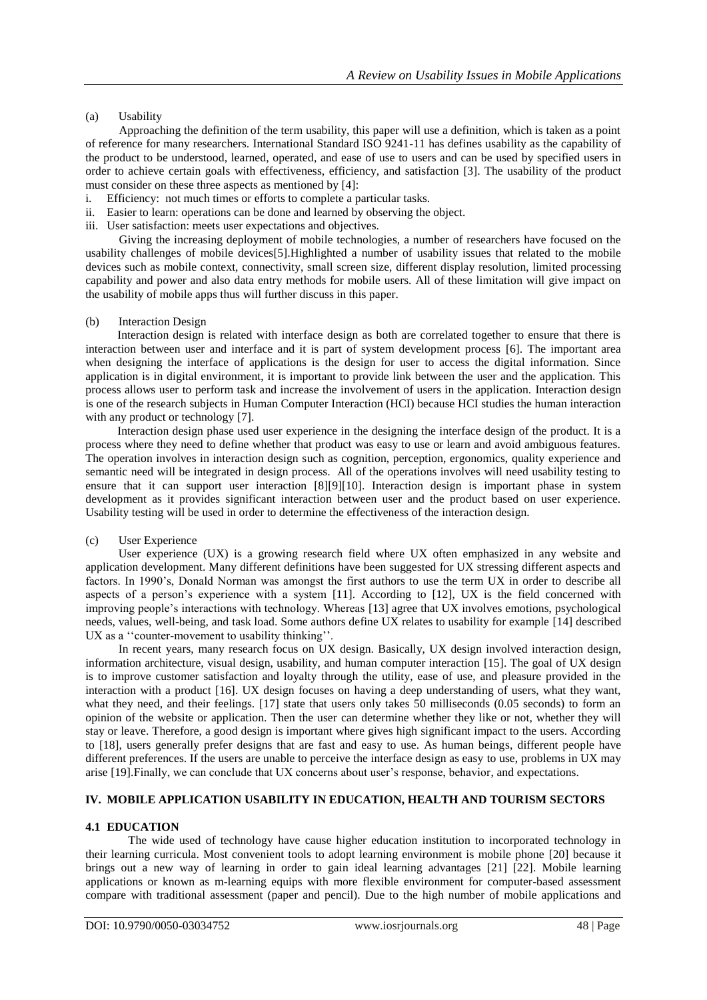### (a) Usability

Approaching the definition of the term usability, this paper will use a definition, which is taken as a point of reference for many researchers. International Standard ISO 9241-11 has defines usability as the capability of the product to be understood, learned, operated, and ease of use to users and can be used by specified users in order to achieve certain goals with effectiveness, efficiency, and satisfaction [3]. The usability of the product must consider on these three aspects as mentioned by [4]:

- i. Efficiency: not much times or efforts to complete a particular tasks.
- ii. Easier to learn: operations can be done and learned by observing the object.
- iii. User satisfaction: meets user expectations and objectives.

Giving the increasing deployment of mobile technologies, a number of researchers have focused on the usability challenges of mobile devices[5].Highlighted a number of usability issues that related to the mobile devices such as mobile context, connectivity, small screen size, different display resolution, limited processing capability and power and also data entry methods for mobile users. All of these limitation will give impact on the usability of mobile apps thus will further discuss in this paper.

#### (b) Interaction Design

Interaction design is related with interface design as both are correlated together to ensure that there is interaction between user and interface and it is part of system development process [6]. The important area when designing the interface of applications is the design for user to access the digital information. Since application is in digital environment, it is important to provide link between the user and the application. This process allows user to perform task and increase the involvement of users in the application. Interaction design is one of the research subjects in Human Computer Interaction (HCI) because HCI studies the human interaction with any product or technology [7].

Interaction design phase used user experience in the designing the interface design of the product. It is a process where they need to define whether that product was easy to use or learn and avoid ambiguous features. The operation involves in interaction design such as cognition, perception, ergonomics, quality experience and semantic need will be integrated in design process. All of the operations involves will need usability testing to ensure that it can support user interaction [8][9][10]. Interaction design is important phase in system development as it provides significant interaction between user and the product based on user experience. Usability testing will be used in order to determine the effectiveness of the interaction design.

#### (c) User Experience

User experience (UX) is a growing research field where UX often emphasized in any website and application development. Many different definitions have been suggested for UX stressing different aspects and factors. In 1990's, Donald Norman was amongst the first authors to use the term UX in order to describe all aspects of a person's experience with a system [11]. According to [12], UX is the field concerned with improving people's interactions with technology. Whereas [13] agree that UX involves emotions, psychological needs, values, well-being, and task load. Some authors define UX relates to usability for example [14] described UX as a ''counter-movement to usability thinking''.

In recent years, many research focus on UX design. Basically, UX design involved interaction design, information architecture, visual design, usability, and human computer interaction [15]. The goal of UX design is to improve customer satisfaction and loyalty through the utility, ease of use, and pleasure provided in the interaction with a product [16]. UX design focuses on having a deep understanding of users, what they want, what they need, and their feelings. [17] state that users only takes 50 milliseconds (0.05 seconds) to form an opinion of the website or application. Then the user can determine whether they like or not, whether they will stay or leave. Therefore, a good design is important where gives high significant impact to the users. According to [18], users generally prefer designs that are fast and easy to use. As human beings, different people have different preferences. If the users are unable to perceive the interface design as easy to use, problems in UX may arise [19].Finally, we can conclude that UX concerns about user's response, behavior, and expectations.

## **IV. MOBILE APPLICATION USABILITY IN EDUCATION, HEALTH AND TOURISM SECTORS**

## **4.1 EDUCATION**

The wide used of technology have cause higher education institution to incorporated technology in their learning curricula. Most convenient tools to adopt learning environment is mobile phone [20] because it brings out a new way of learning in order to gain ideal learning advantages [21] [22]. Mobile learning applications or known as m-learning equips with more flexible environment for computer-based assessment compare with traditional assessment (paper and pencil). Due to the high number of mobile applications and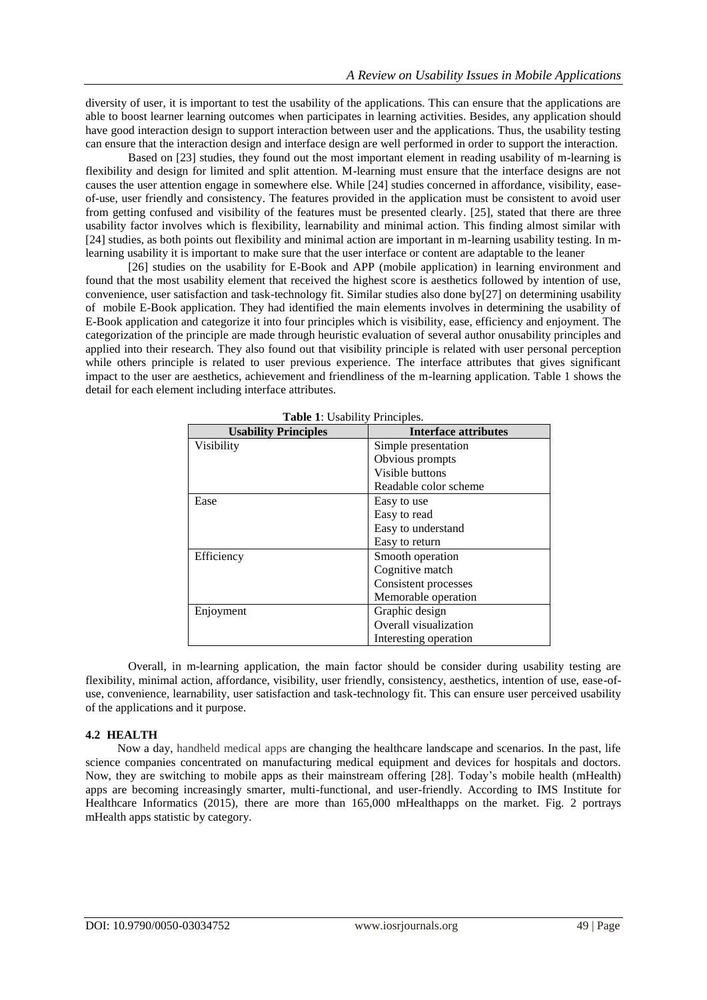diversity of user, it is important to test the usability of the applications. This can ensure that the applications are able to boost learner learning outcomes when participates in learning activities. Besides, any application should have good interaction design to support interaction between user and the applications. Thus, the usability testing can ensure that the interaction design and interface design are well performed in order to support the interaction.

Based on [23] studies, they found out the most important element in reading usability of m-learning is flexibility and design for limited and split attention. M-learning must ensure that the interface designs are not causes the user attention engage in somewhere else. While [24] studies concerned in affordance, visibility, easeof-use, user friendly and consistency. The features provided in the application must be consistent to avoid user from getting confused and visibility of the features must be presented clearly. [25], stated that there are three usability factor involves which is flexibility, learnability and minimal action. This finding almost similar with [24] studies, as both points out flexibility and minimal action are important in m-learning usability testing. In mlearning usability it is important to make sure that the user interface or content are adaptable to the leaner

[26] studies on the usability for E-Book and APP (mobile application) in learning environment and found that the most usability element that received the highest score is aesthetics followed by intention of use, convenience, user satisfaction and task-technology fit. Similar studies also done by[27] on determining usability of mobile E-Book application. They had identified the main elements involves in determining the usability of E-Book application and categorize it into four principles which is visibility, ease, efficiency and enjoyment. The categorization of the principle are made through heuristic evaluation of several author onusability principles and applied into their research. They also found out that visibility principle is related with user personal perception while others principle is related to user previous experience. The interface attributes that gives significant impact to the user are aesthetics, achievement and friendliness of the m-learning application. Table 1 shows the detail for each element including interface attributes.

| <b>Usability Principles</b> | <b>Interface attributes</b> |  |  |
|-----------------------------|-----------------------------|--|--|
| Visibility                  | Simple presentation         |  |  |
|                             | Obvious prompts             |  |  |
|                             | Visible buttons             |  |  |
|                             | Readable color scheme       |  |  |
| Ease                        | Easy to use                 |  |  |
|                             | Easy to read                |  |  |
|                             | Easy to understand          |  |  |
|                             | Easy to return              |  |  |
| Efficiency                  | Smooth operation            |  |  |
|                             | Cognitive match             |  |  |
|                             | Consistent processes        |  |  |
|                             | Memorable operation         |  |  |
| Enjoyment                   | Graphic design              |  |  |
|                             | Overall visualization       |  |  |
|                             | Interesting operation       |  |  |

**Table 1**: Usability Principles.

Overall, in m-learning application, the main factor should be consider during usability testing are flexibility, minimal action, affordance, visibility, user friendly, consistency, aesthetics, intention of use, ease-ofuse, convenience, learnability, user satisfaction and task-technology fit. This can ensure user perceived usability of the applications and it purpose.

#### **4.2 HEALTH**

Now a day, handheld medical apps are changing the healthcare landscape and scenarios. In the past, life science companies concentrated on manufacturing medical equipment and devices for hospitals and doctors. Now, they are switching to mobile apps as their mainstream offering [28]. Today's mobile health (mHealth) apps are becoming increasingly smarter, multi-functional, and user-friendly. According to IMS Institute for Healthcare Informatics (2015), there are more than 165,000 mHealthapps on the market. Fig. 2 portrays mHealth apps statistic by category.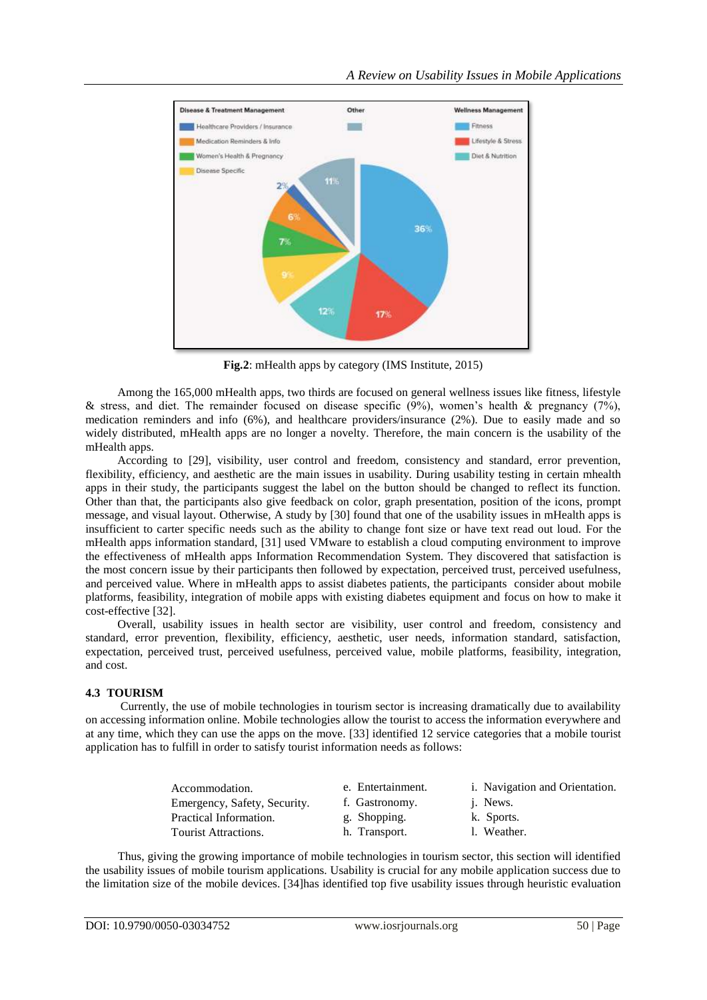

**Fig.2**: mHealth apps by category (IMS Institute, 2015)

Among the 165,000 mHealth apps, two thirds are focused on general wellness issues like fitness, lifestyle & stress, and diet. The remainder focused on disease specific (9%), women's health & pregnancy (7%), medication reminders and info (6%), and healthcare providers/insurance (2%). Due to easily made and so widely distributed, mHealth apps are no longer a novelty. Therefore, the main concern is the usability of the mHealth apps.

According to [29], visibility, user control and freedom, consistency and standard, error prevention, flexibility, efficiency, and aesthetic are the main issues in usability. During usability testing in certain mhealth apps in their study, the participants suggest the label on the button should be changed to reflect its function. Other than that, the participants also give feedback on color, graph presentation, position of the icons, prompt message, and visual layout. Otherwise, A study by [30] found that one of the usability issues in mHealth apps is insufficient to carter specific needs such as the ability to change font size or have text read out loud. For the mHealth apps information standard, [31] used VMware to establish a cloud computing environment to improve the effectiveness of mHealth apps Information Recommendation System. They discovered that satisfaction is the most concern issue by their participants then followed by expectation, perceived trust, perceived usefulness, and perceived value. Where in mHealth apps to assist diabetes patients, the participants consider about mobile platforms, feasibility, integration of mobile apps with existing diabetes equipment and focus on how to make it cost-effective [32].

Overall, usability issues in health sector are visibility, user control and freedom, consistency and standard, error prevention, flexibility, efficiency, aesthetic, user needs, information standard, satisfaction, expectation, perceived trust, perceived usefulness, perceived value, mobile platforms, feasibility, integration, and cost.

## **4.3 TOURISM**

Currently, the use of mobile technologies in tourism sector is increasing dramatically due to availability on accessing information online. Mobile technologies allow the tourist to access the information everywhere and at any time, which they can use the apps on the move. [33] identified 12 service categories that a mobile tourist application has to fulfill in order to satisfy tourist information needs as follows:

| Accommodation.               | e. Entertainment. | i. Navigation and Orientation. |
|------------------------------|-------------------|--------------------------------|
| Emergency, Safety, Security. | f. Gastronomy.    | <i>i</i> . News.               |
| Practical Information.       | g. Shopping.      | k. Sports.                     |
| Tourist Attractions.         | h. Transport.     | 1. Weather.                    |

Thus, giving the growing importance of mobile technologies in tourism sector, this section will identified the usability issues of mobile tourism applications. Usability is crucial for any mobile application success due to the limitation size of the mobile devices. [34]has identified top five usability issues through heuristic evaluation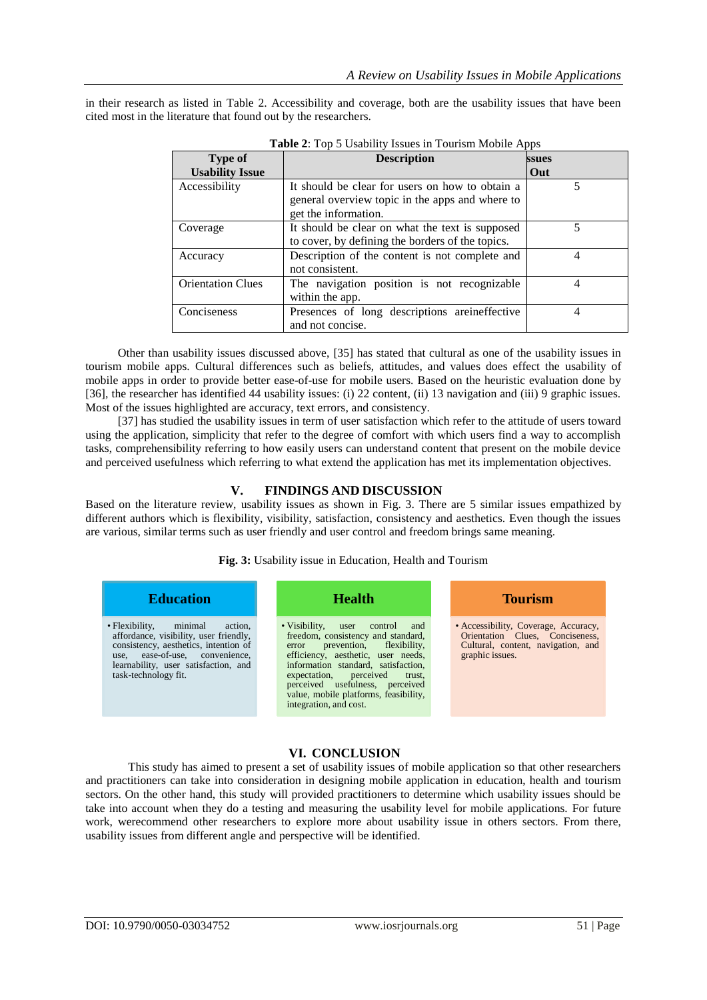in their research as listed in Table 2. Accessibility and coverage, both are the usability issues that have been cited most in the literature that found out by the researchers.

| <b>Type of</b>           | <b>Description</b>                               | ssues |
|--------------------------|--------------------------------------------------|-------|
| <b>Usability Issue</b>   |                                                  | Out   |
| Accessibility            | It should be clear for users on how to obtain a  |       |
|                          | general overview topic in the apps and where to  |       |
|                          | get the information.                             |       |
| Coverage                 | It should be clear on what the text is supposed  |       |
|                          | to cover, by defining the borders of the topics. |       |
| Accuracy                 | Description of the content is not complete and   | 4     |
|                          | not consistent.                                  |       |
| <b>Orientation Clues</b> | The navigation position is not recognizable      | 4     |
|                          | within the app.                                  |       |
| Conciseness              | Presences of long descriptions areineffective    | 4     |
|                          | and not concise.                                 |       |

 **Table 2**: Top 5 Usability Issues in Tourism Mobile Apps

Other than usability issues discussed above, [35] has stated that cultural as one of the usability issues in tourism mobile apps. Cultural differences such as beliefs, attitudes, and values does effect the usability of mobile apps in order to provide better ease-of-use for mobile users. Based on the heuristic evaluation done by [36], the researcher has identified 44 usability issues: (i) 22 content, (ii) 13 navigation and (iii) 9 graphic issues. Most of the issues highlighted are accuracy, text errors, and consistency.

[37] has studied the usability issues in term of user satisfaction which refer to the attitude of users toward using the application, simplicity that refer to the degree of comfort with which users find a way to accomplish tasks, comprehensibility referring to how easily users can understand content that present on the mobile device and perceived usefulness which referring to what extend the application has met its implementation objectives.

## **V. FINDINGS AND DISCUSSION**

Based on the literature review, usability issues as shown in Fig. 3. There are 5 similar issues empathized by different authors which is flexibility, visibility, satisfaction, consistency and aesthetics. Even though the issues are various, similar terms such as user friendly and user control and freedom brings same meaning.

**Fig. 3:** Usability issue in Education, Health and Tourism



# **VI. CONCLUSION**

This study has aimed to present a set of usability issues of mobile application so that other researchers and practitioners can take into consideration in designing mobile application in education, health and tourism sectors. On the other hand, this study will provided practitioners to determine which usability issues should be take into account when they do a testing and measuring the usability level for mobile applications. For future work, werecommend other researchers to explore more about usability issue in others sectors. From there, usability issues from different angle and perspective will be identified.